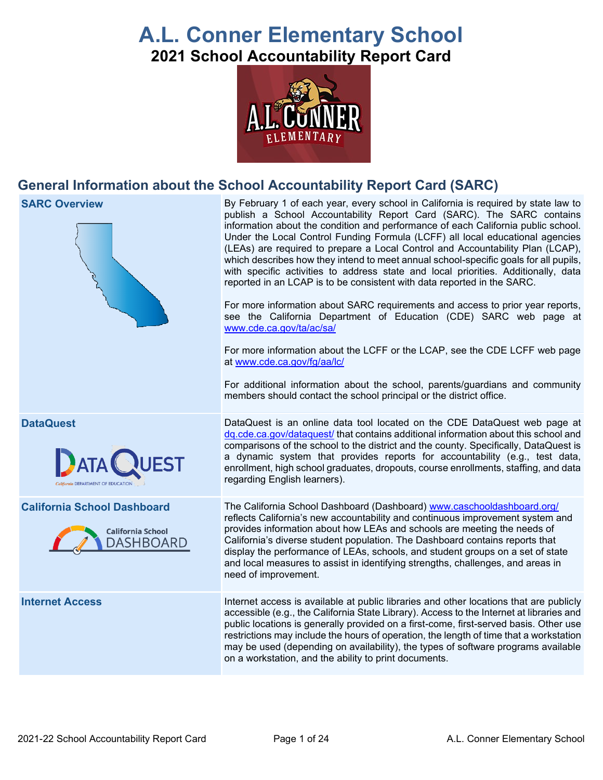# **A.L. Conner Elementary School 2021 School Accountability Report Card**



# **General Information about the School Accountability Report Card (SARC)**



**SARC Overview** By February 1 of each year, every school in California is required by state law to publish a School Accountability Report Card (SARC). The SARC contains information about the condition and performance of each California public school. Under the Local Control Funding Formula (LCFF) all local educational agencies (LEAs) are required to prepare a Local Control and Accountability Plan (LCAP), which describes how they intend to meet annual school-specific goals for all pupils, with specific activities to address state and local priorities. Additionally, data reported in an LCAP is to be consistent with data reported in the SARC.

> For more information about SARC requirements and access to prior year reports, see the California Department of Education (CDE) SARC web page at [www.cde.ca.gov/ta/ac/sa/](https://www.cde.ca.gov/ta/ac/sa/)

> For more information about the LCFF or the LCAP, see the CDE LCFF web page at [www.cde.ca.gov/fg/aa/lc/](https://www.cde.ca.gov/fg/aa/lc/)

> For additional information about the school, parents/guardians and community members should contact the school principal or the district office.

**DataQuest DataQuest DataQuest** is an online data tool located on the CDE DataQuest web page at [dq.cde.ca.gov/dataquest/](https://dq.cde.ca.gov/dataquest/) that contains additional information about this school and comparisons of the school to the district and the county. Specifically, DataQuest is a dynamic system that provides reports for accountability (e.g., test data, enrollment, high school graduates, dropouts, course enrollments, staffing, and data regarding English learners).

**California School Dashboard** The California School Dashboard (Dashboard) [www.caschooldashboard.org/](http://www.caschooldashboard.org/) reflects California's new accountability and continuous improvement system and provides information about how LEAs and schools are meeting the needs of California's diverse student population. The Dashboard contains reports that display the performance of LEAs, schools, and student groups on a set of state and local measures to assist in identifying strengths, challenges, and areas in need of improvement.

**Internet Access Internet access is available at public libraries and other locations that are publicly** accessible (e.g., the California State Library). Access to the Internet at libraries and public locations is generally provided on a first-come, first-served basis. Other use restrictions may include the hours of operation, the length of time that a workstation may be used (depending on availability), the types of software programs available on a workstation, and the ability to print documents.



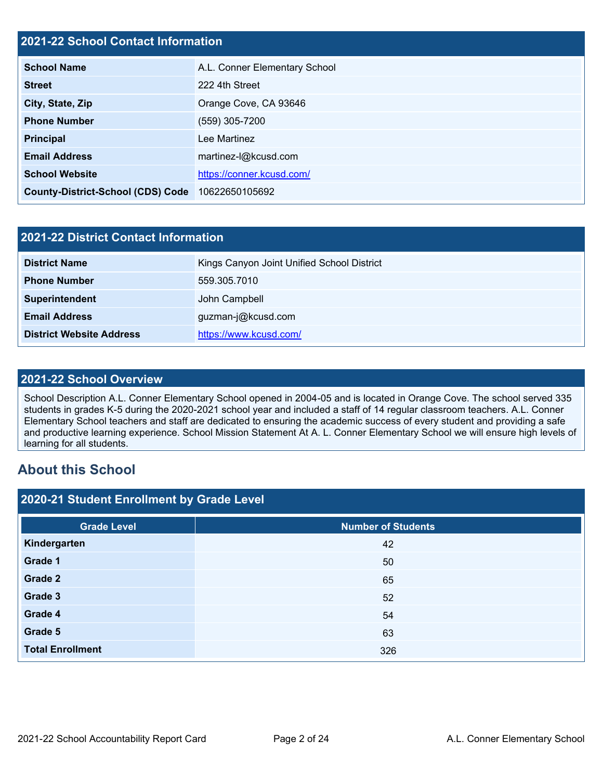# **2021-22 School Contact Information**

| <b>School Name</b>                       | A.L. Conner Elementary School |  |  |  |
|------------------------------------------|-------------------------------|--|--|--|
| <b>Street</b>                            | 222 4th Street                |  |  |  |
| City, State, Zip                         | Orange Cove, CA 93646         |  |  |  |
| <b>Phone Number</b>                      | (559) 305-7200                |  |  |  |
| <b>Principal</b>                         | Lee Martinez                  |  |  |  |
| <b>Email Address</b>                     | martinez-l@kcusd.com          |  |  |  |
| <b>School Website</b>                    | https://conner.kcusd.com/     |  |  |  |
| <b>County-District-School (CDS) Code</b> | 10622650105692                |  |  |  |

| 2021-22 District Contact Information |                                            |  |  |  |
|--------------------------------------|--------------------------------------------|--|--|--|
| <b>District Name</b>                 | Kings Canyon Joint Unified School District |  |  |  |
| <b>Phone Number</b>                  | 559.305.7010                               |  |  |  |
| Superintendent                       | John Campbell                              |  |  |  |
| <b>Email Address</b>                 | guzman-j@kcusd.com                         |  |  |  |
| <b>District Website Address</b>      | https://www.kcusd.com/                     |  |  |  |

#### **2021-22 School Overview**

School Description A.L. Conner Elementary School opened in 2004-05 and is located in Orange Cove. The school served 335 students in grades K-5 during the 2020-2021 school year and included a staff of 14 regular classroom teachers. A.L. Conner Elementary School teachers and staff are dedicated to ensuring the academic success of every student and providing a safe and productive learning experience. School Mission Statement At A. L. Conner Elementary School we will ensure high levels of learning for all students.

# **About this School**

| 2020-21 Student Enrollment by Grade Level |                           |  |  |  |  |
|-------------------------------------------|---------------------------|--|--|--|--|
| <b>Grade Level</b>                        | <b>Number of Students</b> |  |  |  |  |
| Kindergarten                              | 42                        |  |  |  |  |
| Grade 1                                   | 50                        |  |  |  |  |
| Grade 2                                   | 65                        |  |  |  |  |
| Grade 3                                   | 52                        |  |  |  |  |
| Grade 4                                   | 54                        |  |  |  |  |
| Grade 5                                   | 63                        |  |  |  |  |
| <b>Total Enrollment</b>                   | 326                       |  |  |  |  |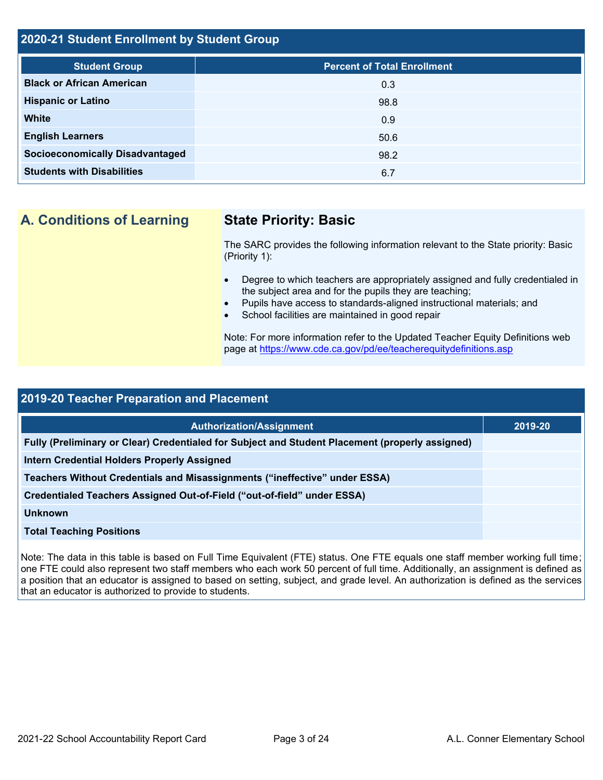# **2020-21 Student Enrollment by Student Group**

| <b>Student Group</b>                   | <b>Percent of Total Enrollment</b> |
|----------------------------------------|------------------------------------|
| <b>Black or African American</b>       | 0.3                                |
| <b>Hispanic or Latino</b>              | 98.8                               |
| <b>White</b>                           | 0.9                                |
| <b>English Learners</b>                | 50.6                               |
| <b>Socioeconomically Disadvantaged</b> | 98.2                               |
| <b>Students with Disabilities</b>      | 6.7                                |

**A. Conditions of Learning State Priority: Basic**

The SARC provides the following information relevant to the State priority: Basic (Priority 1):

- Degree to which teachers are appropriately assigned and fully credentialed in the subject area and for the pupils they are teaching;
- Pupils have access to standards-aligned instructional materials; and
- School facilities are maintained in good repair

Note: For more information refer to the Updated Teacher Equity Definitions web page at<https://www.cde.ca.gov/pd/ee/teacherequitydefinitions.asp>

| 2019-20 Teacher Preparation and Placement                                                       |         |  |  |  |
|-------------------------------------------------------------------------------------------------|---------|--|--|--|
|                                                                                                 |         |  |  |  |
| <b>Authorization/Assignment</b>                                                                 | 2019-20 |  |  |  |
| Fully (Preliminary or Clear) Credentialed for Subject and Student Placement (properly assigned) |         |  |  |  |
| <b>Intern Credential Holders Properly Assigned</b>                                              |         |  |  |  |
| Teachers Without Credentials and Misassignments ("ineffective" under ESSA)                      |         |  |  |  |
| Credentialed Teachers Assigned Out-of-Field ("out-of-field" under ESSA)                         |         |  |  |  |
| <b>Unknown</b>                                                                                  |         |  |  |  |
| <b>Total Teaching Positions</b>                                                                 |         |  |  |  |
|                                                                                                 |         |  |  |  |

Note: The data in this table is based on Full Time Equivalent (FTE) status. One FTE equals one staff member working full time; one FTE could also represent two staff members who each work 50 percent of full time. Additionally, an assignment is defined as a position that an educator is assigned to based on setting, subject, and grade level. An authorization is defined as the services that an educator is authorized to provide to students.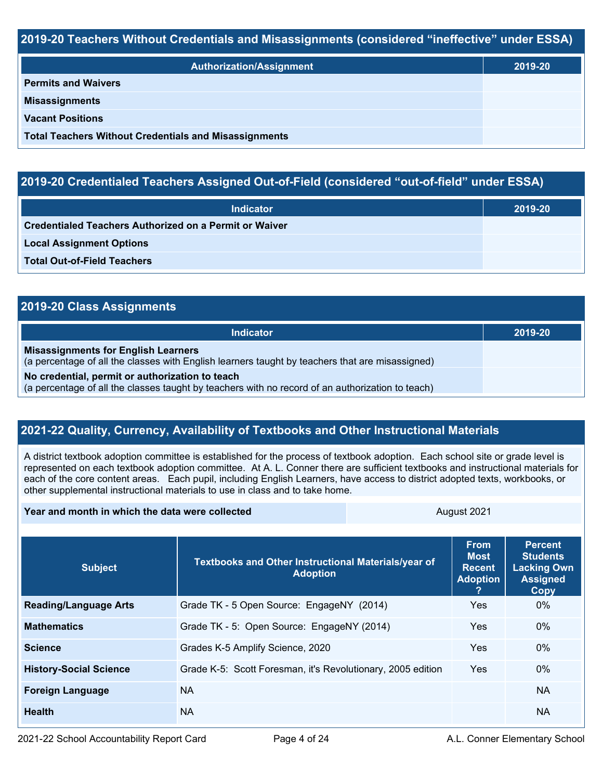#### **2019-20 Teachers Without Credentials and Misassignments (considered "ineffective" under ESSA)**

| <b>Authorization/Assignment</b>                              | 2019-20 |
|--------------------------------------------------------------|---------|
| <b>Permits and Waivers</b>                                   |         |
| <b>Misassignments</b>                                        |         |
| <b>Vacant Positions</b>                                      |         |
| <b>Total Teachers Without Credentials and Misassignments</b> |         |

# **2019-20 Credentialed Teachers Assigned Out-of-Field (considered "out-of-field" under ESSA)**

| <b>Indicator</b>                                       | 2019-20 |
|--------------------------------------------------------|---------|
| Credentialed Teachers Authorized on a Permit or Waiver |         |
| <b>Local Assignment Options</b>                        |         |
| <b>Total Out-of-Field Teachers</b>                     |         |

| 2019-20 Class Assignments                                                                                                                           |         |
|-----------------------------------------------------------------------------------------------------------------------------------------------------|---------|
| <b>Indicator</b>                                                                                                                                    | 2019-20 |
| <b>Misassignments for English Learners</b><br>(a percentage of all the classes with English learners taught by teachers that are misassigned)       |         |
| No credential, permit or authorization to teach<br>(a percentage of all the classes taught by teachers with no record of an authorization to teach) |         |

## **2021-22 Quality, Currency, Availability of Textbooks and Other Instructional Materials**

A district textbook adoption committee is established for the process of textbook adoption. Each school site or grade level is represented on each textbook adoption committee. At A. L. Conner there are sufficient textbooks and instructional materials for each of the core content areas. Each pupil, including English Learners, have access to district adopted texts, workbooks, or other supplemental instructional materials to use in class and to take home.

#### **Year and month in which the data were collected August 2021** August 2021

| <b>Subject</b>                | Textbooks and Other Instructional Materials/year of<br><b>Adoption</b> | <b>From</b><br><b>Most</b><br><b>Recent</b><br><b>Adoption</b><br>? | <b>Percent</b><br><b>Students</b><br><b>Lacking Own</b><br><b>Assigned</b><br><b>Copy</b> |
|-------------------------------|------------------------------------------------------------------------|---------------------------------------------------------------------|-------------------------------------------------------------------------------------------|
| <b>Reading/Language Arts</b>  | Grade TK - 5 Open Source: EngageNY (2014)                              | Yes.                                                                | $0\%$                                                                                     |
| <b>Mathematics</b>            | Grade TK - 5: Open Source: EngageNY (2014)                             | <b>Yes</b>                                                          | $0\%$                                                                                     |
| <b>Science</b>                | Grades K-5 Amplify Science, 2020                                       | <b>Yes</b>                                                          | $0\%$                                                                                     |
| <b>History-Social Science</b> | Grade K-5: Scott Foresman, it's Revolutionary, 2005 edition            | <b>Yes</b>                                                          | $0\%$                                                                                     |
| <b>Foreign Language</b>       | NA.                                                                    |                                                                     | <b>NA</b>                                                                                 |
| <b>Health</b>                 | <b>NA</b>                                                              |                                                                     | NA.                                                                                       |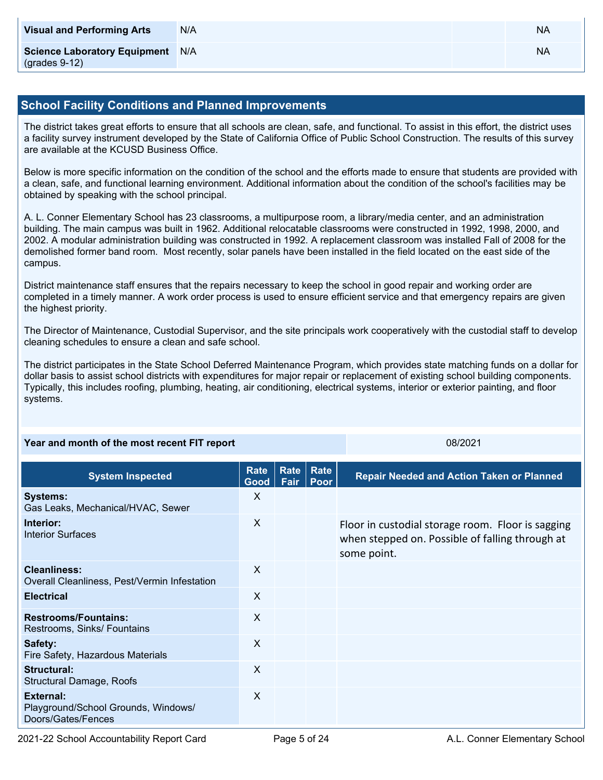| <b>Visual and Performing Arts</b>                          | N/A | <b>NA</b> |
|------------------------------------------------------------|-----|-----------|
| <b>Science Laboratory Equipment</b><br>$($ grades 9-12 $)$ | N/A | <b>NA</b> |

#### **School Facility Conditions and Planned Improvements**

The district takes great efforts to ensure that all schools are clean, safe, and functional. To assist in this effort, the district uses a facility survey instrument developed by the State of California Office of Public School Construction. The results of this survey are available at the KCUSD Business Office.

Below is more specific information on the condition of the school and the efforts made to ensure that students are provided with a clean, safe, and functional learning environment. Additional information about the condition of the school's facilities may be obtained by speaking with the school principal.

A. L. Conner Elementary School has 23 classrooms, a multipurpose room, a library/media center, and an administration building. The main campus was built in 1962. Additional relocatable classrooms were constructed in 1992, 1998, 2000, and 2002. A modular administration building was constructed in 1992. A replacement classroom was installed Fall of 2008 for the demolished former band room. Most recently, solar panels have been installed in the field located on the east side of the campus.

District maintenance staff ensures that the repairs necessary to keep the school in good repair and working order are completed in a timely manner. A work order process is used to ensure efficient service and that emergency repairs are given the highest priority.

The Director of Maintenance, Custodial Supervisor, and the site principals work cooperatively with the custodial staff to develop cleaning schedules to ensure a clean and safe school.

The district participates in the State School Deferred Maintenance Program, which provides state matching funds on a dollar for dollar basis to assist school districts with expenditures for major repair or replacement of existing school building components. Typically, this includes roofing, plumbing, heating, air conditioning, electrical systems, interior or exterior painting, and floor systems.

| Year and month of the most recent FIT report                                   |              |                                                  |  | 08/2021                                                                                                             |  |
|--------------------------------------------------------------------------------|--------------|--------------------------------------------------|--|---------------------------------------------------------------------------------------------------------------------|--|
| Rate<br>Rate<br><b>Rate</b><br><b>System Inspected</b><br>Fair<br>Poor<br>Good |              | <b>Repair Needed and Action Taken or Planned</b> |  |                                                                                                                     |  |
| <b>Systems:</b><br>Gas Leaks, Mechanical/HVAC, Sewer                           | X            |                                                  |  |                                                                                                                     |  |
| Interior:<br><b>Interior Surfaces</b>                                          | $\sf X$      |                                                  |  | Floor in custodial storage room. Floor is sagging<br>when stepped on. Possible of falling through at<br>some point. |  |
| <b>Cleanliness:</b><br>Overall Cleanliness, Pest/Vermin Infestation            | $\sf X$      |                                                  |  |                                                                                                                     |  |
| <b>Electrical</b>                                                              | $\sf X$      |                                                  |  |                                                                                                                     |  |
| <b>Restrooms/Fountains:</b><br>Restrooms, Sinks/ Fountains                     | $\sf X$      |                                                  |  |                                                                                                                     |  |
| Safety:<br>Fire Safety, Hazardous Materials                                    | $\sf X$      |                                                  |  |                                                                                                                     |  |
| <b>Structural:</b><br>Structural Damage, Roofs                                 | X            |                                                  |  |                                                                                                                     |  |
| External:<br>Playground/School Grounds, Windows/<br>Doors/Gates/Fences         | $\mathsf{X}$ |                                                  |  |                                                                                                                     |  |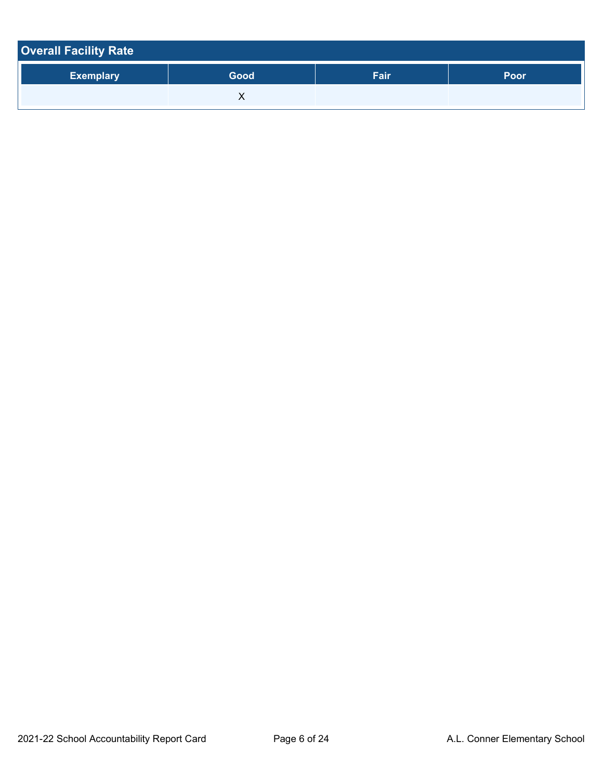| <b>Overall Facility Rate</b> |      |      |      |  |  |
|------------------------------|------|------|------|--|--|
| <b>Exemplary</b>             | Good | Fair | Poor |  |  |
|                              |      |      |      |  |  |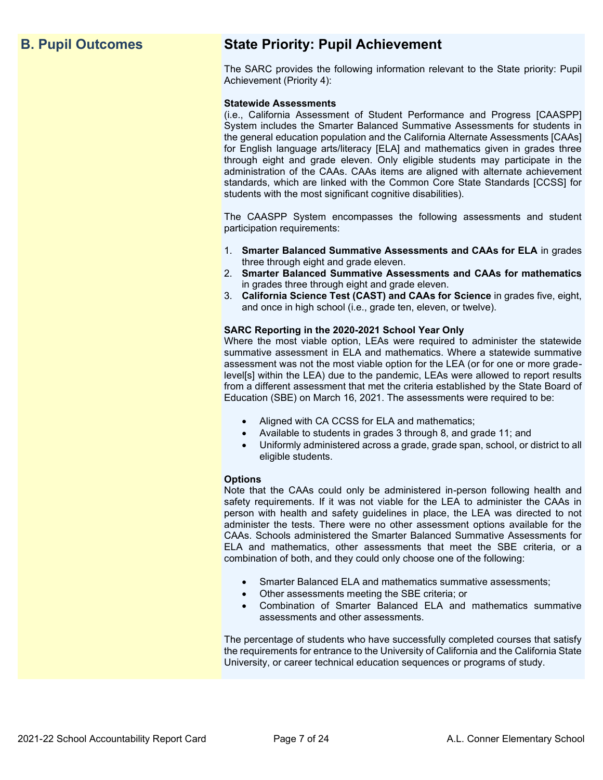# **B. Pupil Outcomes State Priority: Pupil Achievement**

The SARC provides the following information relevant to the State priority: Pupil Achievement (Priority 4):

#### **Statewide Assessments**

(i.e., California Assessment of Student Performance and Progress [CAASPP] System includes the Smarter Balanced Summative Assessments for students in the general education population and the California Alternate Assessments [CAAs] for English language arts/literacy [ELA] and mathematics given in grades three through eight and grade eleven. Only eligible students may participate in the administration of the CAAs. CAAs items are aligned with alternate achievement standards, which are linked with the Common Core State Standards [CCSS] for students with the most significant cognitive disabilities).

The CAASPP System encompasses the following assessments and student participation requirements:

- 1. **Smarter Balanced Summative Assessments and CAAs for ELA** in grades three through eight and grade eleven.
- 2. **Smarter Balanced Summative Assessments and CAAs for mathematics** in grades three through eight and grade eleven.
- 3. **California Science Test (CAST) and CAAs for Science** in grades five, eight, and once in high school (i.e., grade ten, eleven, or twelve).

#### **SARC Reporting in the 2020-2021 School Year Only**

Where the most viable option, LEAs were required to administer the statewide summative assessment in ELA and mathematics. Where a statewide summative assessment was not the most viable option for the LEA (or for one or more gradelevel[s] within the LEA) due to the pandemic, LEAs were allowed to report results from a different assessment that met the criteria established by the State Board of Education (SBE) on March 16, 2021. The assessments were required to be:

- Aligned with CA CCSS for ELA and mathematics;
- Available to students in grades 3 through 8, and grade 11; and
- Uniformly administered across a grade, grade span, school, or district to all eligible students.

#### **Options**

Note that the CAAs could only be administered in-person following health and safety requirements. If it was not viable for the LEA to administer the CAAs in person with health and safety guidelines in place, the LEA was directed to not administer the tests. There were no other assessment options available for the CAAs. Schools administered the Smarter Balanced Summative Assessments for ELA and mathematics, other assessments that meet the SBE criteria, or a combination of both, and they could only choose one of the following:

- Smarter Balanced ELA and mathematics summative assessments;
- Other assessments meeting the SBE criteria; or
- Combination of Smarter Balanced ELA and mathematics summative assessments and other assessments.

The percentage of students who have successfully completed courses that satisfy the requirements for entrance to the University of California and the California State University, or career technical education sequences or programs of study.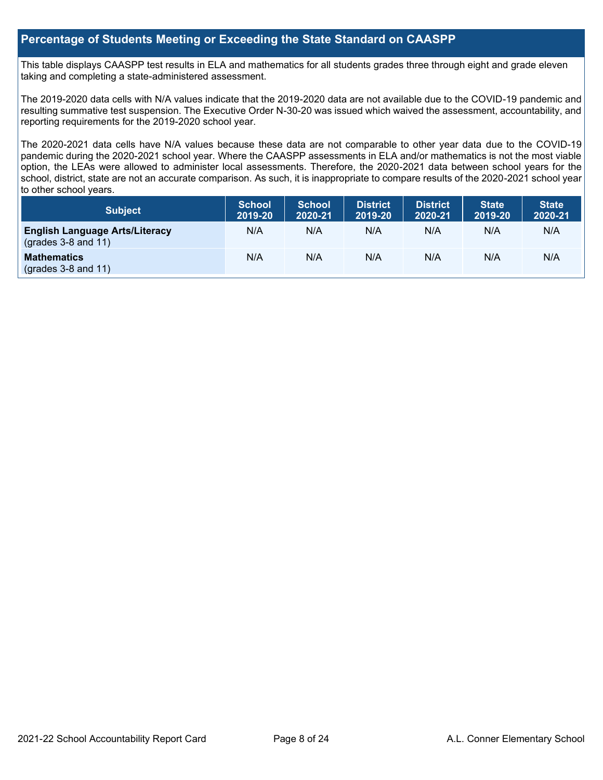#### **Percentage of Students Meeting or Exceeding the State Standard on CAASPP**

This table displays CAASPP test results in ELA and mathematics for all students grades three through eight and grade eleven taking and completing a state-administered assessment.

The 2019-2020 data cells with N/A values indicate that the 2019-2020 data are not available due to the COVID-19 pandemic and resulting summative test suspension. The Executive Order N-30-20 was issued which waived the assessment, accountability, and reporting requirements for the 2019-2020 school year.

The 2020-2021 data cells have N/A values because these data are not comparable to other year data due to the COVID-19 pandemic during the 2020-2021 school year. Where the CAASPP assessments in ELA and/or mathematics is not the most viable option, the LEAs were allowed to administer local assessments. Therefore, the 2020-2021 data between school years for the school, district, state are not an accurate comparison. As such, it is inappropriate to compare results of the 2020-2021 school year to other school years.

| <b>Subject</b>                                                 | <b>School</b><br>2019-20 | <b>School</b><br>2020-21 | District<br>2019-20 | <b>District</b><br>2020-21 | <b>State</b><br>2019-20 | <b>State</b><br>2020-21 |
|----------------------------------------------------------------|--------------------------|--------------------------|---------------------|----------------------------|-------------------------|-------------------------|
| <b>English Language Arts/Literacy</b><br>$(grades 3-8 and 11)$ | N/A                      | N/A                      | N/A                 | N/A                        | N/A                     | N/A                     |
| <b>Mathematics</b><br>$(grades 3-8 and 11)$                    | N/A                      | N/A                      | N/A                 | N/A                        | N/A                     | N/A                     |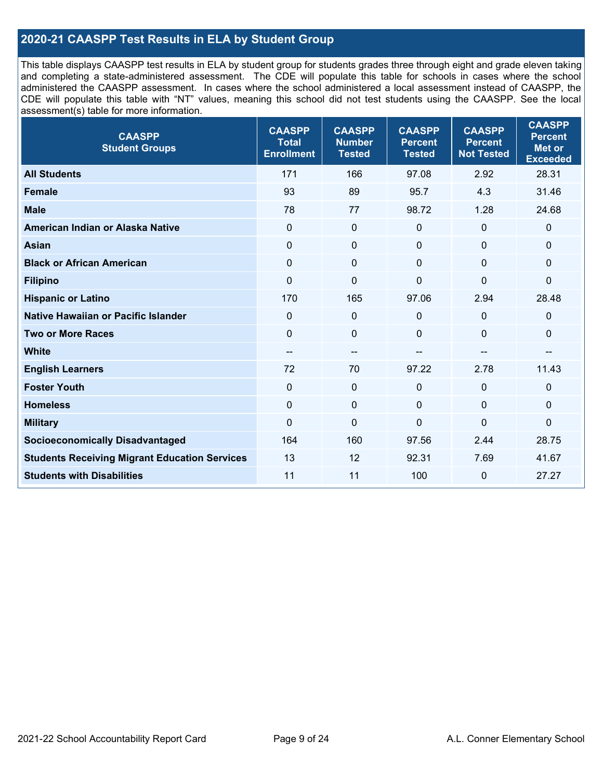### **2020-21 CAASPP Test Results in ELA by Student Group**

This table displays CAASPP test results in ELA by student group for students grades three through eight and grade eleven taking and completing a state-administered assessment. The CDE will populate this table for schools in cases where the school administered the CAASPP assessment. In cases where the school administered a local assessment instead of CAASPP, the CDE will populate this table with "NT" values, meaning this school did not test students using the CAASPP. See the local assessment(s) table for more information.

| <b>CAASPP</b><br><b>Student Groups</b>               | <b>CAASPP</b><br><b>Total</b><br><b>Enrollment</b> | <b>CAASPP</b><br><b>Number</b><br><b>Tested</b> | <b>CAASPP</b><br><b>Percent</b><br><b>Tested</b> | <b>CAASPP</b><br><b>Percent</b><br><b>Not Tested</b> | <b>CAASPP</b><br><b>Percent</b><br><b>Met or</b><br><b>Exceeded</b> |
|------------------------------------------------------|----------------------------------------------------|-------------------------------------------------|--------------------------------------------------|------------------------------------------------------|---------------------------------------------------------------------|
| <b>All Students</b>                                  | 171                                                | 166                                             | 97.08                                            | 2.92                                                 | 28.31                                                               |
| <b>Female</b>                                        | 93                                                 | 89                                              | 95.7                                             | 4.3                                                  | 31.46                                                               |
| <b>Male</b>                                          | 78                                                 | 77                                              | 98.72                                            | 1.28                                                 | 24.68                                                               |
| American Indian or Alaska Native                     | $\mathbf 0$                                        | $\boldsymbol{0}$                                | 0                                                | $\mathbf 0$                                          | 0                                                                   |
| <b>Asian</b>                                         | $\mathbf 0$                                        | $\pmb{0}$                                       | $\mathbf 0$                                      | $\mathbf 0$                                          | 0                                                                   |
| <b>Black or African American</b>                     | $\overline{0}$                                     | $\mathbf 0$                                     | $\Omega$                                         | $\Omega$                                             | 0                                                                   |
| <b>Filipino</b>                                      | $\mathbf 0$                                        | $\mathbf 0$                                     | $\mathbf 0$                                      | $\Omega$                                             | 0                                                                   |
| <b>Hispanic or Latino</b>                            | 170                                                | 165                                             | 97.06                                            | 2.94                                                 | 28.48                                                               |
| <b>Native Hawaiian or Pacific Islander</b>           | $\Omega$                                           | $\mathbf 0$                                     | $\Omega$                                         | $\mathbf 0$                                          | 0                                                                   |
| <b>Two or More Races</b>                             | $\mathbf 0$                                        | $\mathbf 0$                                     | $\mathbf 0$                                      | 0                                                    | 0                                                                   |
| <b>White</b>                                         | $\overline{\phantom{a}}$                           | $\overline{\phantom{m}}$                        | --                                               | --                                                   | --                                                                  |
| <b>English Learners</b>                              | 72                                                 | 70                                              | 97.22                                            | 2.78                                                 | 11.43                                                               |
| <b>Foster Youth</b>                                  | $\Omega$                                           | $\mathbf 0$                                     | $\Omega$                                         | $\Omega$                                             | 0                                                                   |
| <b>Homeless</b>                                      | $\Omega$                                           | $\boldsymbol{0}$                                | $\mathbf{0}$                                     | $\mathbf 0$                                          | 0                                                                   |
| <b>Military</b>                                      | $\mathbf 0$                                        | $\pmb{0}$                                       | $\mathbf 0$                                      | $\overline{0}$                                       | $\mathbf 0$                                                         |
| <b>Socioeconomically Disadvantaged</b>               | 164                                                | 160                                             | 97.56                                            | 2.44                                                 | 28.75                                                               |
| <b>Students Receiving Migrant Education Services</b> | 13                                                 | 12                                              | 92.31                                            | 7.69                                                 | 41.67                                                               |
| <b>Students with Disabilities</b>                    | 11                                                 | 11                                              | 100                                              | 0                                                    | 27.27                                                               |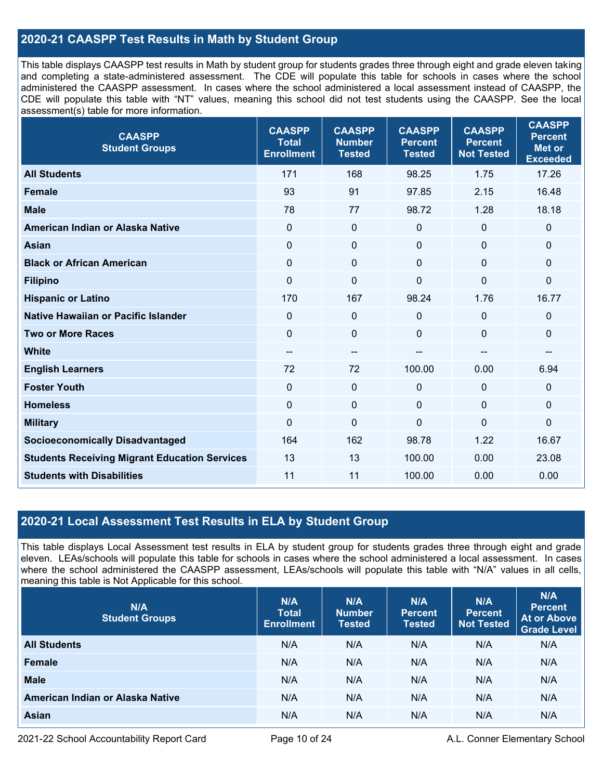### **2020-21 CAASPP Test Results in Math by Student Group**

This table displays CAASPP test results in Math by student group for students grades three through eight and grade eleven taking and completing a state-administered assessment. The CDE will populate this table for schools in cases where the school administered the CAASPP assessment. In cases where the school administered a local assessment instead of CAASPP, the CDE will populate this table with "NT" values, meaning this school did not test students using the CAASPP. See the local assessment(s) table for more information.

| <b>CAASPP</b><br><b>Student Groups</b>               | <b>CAASPP</b><br><b>Total</b><br><b>Enrollment</b> | <b>CAASPP</b><br><b>Number</b><br><b>Tested</b> | <b>CAASPP</b><br><b>Percent</b><br><b>Tested</b> | <b>CAASPP</b><br><b>Percent</b><br><b>Not Tested</b> | <b>CAASPP</b><br><b>Percent</b><br><b>Met or</b><br><b>Exceeded</b> |
|------------------------------------------------------|----------------------------------------------------|-------------------------------------------------|--------------------------------------------------|------------------------------------------------------|---------------------------------------------------------------------|
| <b>All Students</b>                                  | 171                                                | 168                                             | 98.25                                            | 1.75                                                 | 17.26                                                               |
| <b>Female</b>                                        | 93                                                 | 91                                              | 97.85                                            | 2.15                                                 | 16.48                                                               |
| <b>Male</b>                                          | 78                                                 | 77                                              | 98.72                                            | 1.28                                                 | 18.18                                                               |
| American Indian or Alaska Native                     | $\overline{0}$                                     | $\mathbf 0$                                     | $\mathbf 0$                                      | $\Omega$                                             | $\mathbf 0$                                                         |
| <b>Asian</b>                                         | $\mathbf 0$                                        | 0                                               | $\mathbf 0$                                      | 0                                                    | $\mathbf 0$                                                         |
| <b>Black or African American</b>                     | $\mathbf 0$                                        | $\Omega$                                        | $\mathbf 0$                                      | 0                                                    | $\mathbf 0$                                                         |
| <b>Filipino</b>                                      | $\mathbf 0$                                        | $\mathbf 0$                                     | $\mathbf 0$                                      | $\overline{0}$                                       | $\mathbf 0$                                                         |
| <b>Hispanic or Latino</b>                            | 170                                                | 167                                             | 98.24                                            | 1.76                                                 | 16.77                                                               |
| <b>Native Hawaiian or Pacific Islander</b>           | $\mathbf 0$                                        | $\mathbf 0$                                     | $\mathbf 0$                                      | 0                                                    | $\mathbf 0$                                                         |
| <b>Two or More Races</b>                             | $\mathbf 0$                                        | $\mathbf 0$                                     | $\mathbf 0$                                      | 0                                                    | $\mathbf 0$                                                         |
| <b>White</b>                                         | $\qquad \qquad -$                                  | --                                              | --                                               | --                                                   | --                                                                  |
| <b>English Learners</b>                              | 72                                                 | 72                                              | 100.00                                           | 0.00                                                 | 6.94                                                                |
| <b>Foster Youth</b>                                  | $\mathbf 0$                                        | 0                                               | $\mathbf 0$                                      | $\Omega$                                             | $\mathbf 0$                                                         |
| <b>Homeless</b>                                      | $\Omega$                                           | 0                                               | $\mathbf 0$                                      | $\Omega$                                             | $\mathbf 0$                                                         |
| <b>Military</b>                                      | $\mathbf 0$                                        | $\mathbf 0$                                     | $\mathbf 0$                                      | $\overline{0}$                                       | $\mathbf 0$                                                         |
| <b>Socioeconomically Disadvantaged</b>               | 164                                                | 162                                             | 98.78                                            | 1.22                                                 | 16.67                                                               |
| <b>Students Receiving Migrant Education Services</b> | 13                                                 | 13                                              | 100.00                                           | 0.00                                                 | 23.08                                                               |
| <b>Students with Disabilities</b>                    | 11                                                 | 11                                              | 100.00                                           | 0.00                                                 | 0.00                                                                |

#### **2020-21 Local Assessment Test Results in ELA by Student Group**

This table displays Local Assessment test results in ELA by student group for students grades three through eight and grade eleven. LEAs/schools will populate this table for schools in cases where the school administered a local assessment. In cases where the school administered the CAASPP assessment, LEAs/schools will populate this table with "N/A" values in all cells, meaning this table is Not Applicable for this school.

| N/A<br><b>Student Groups</b>     | N/A<br><b>Total</b><br><b>Enrollment</b> | N/A<br><b>Number</b><br><b>Tested</b> | N/A<br><b>Percent</b><br><b>Tested</b> | N/A<br>Percent<br><b>Not Tested</b> | N/A<br><b>Percent</b><br><b>At or Above</b><br><b>Grade Level</b> |
|----------------------------------|------------------------------------------|---------------------------------------|----------------------------------------|-------------------------------------|-------------------------------------------------------------------|
| <b>All Students</b>              | N/A                                      | N/A                                   | N/A                                    | N/A                                 | N/A                                                               |
| Female                           | N/A                                      | N/A                                   | N/A                                    | N/A                                 | N/A                                                               |
| <b>Male</b>                      | N/A                                      | N/A                                   | N/A                                    | N/A                                 | N/A                                                               |
| American Indian or Alaska Native | N/A                                      | N/A                                   | N/A                                    | N/A                                 | N/A                                                               |
| <b>Asian</b>                     | N/A                                      | N/A                                   | N/A                                    | N/A                                 | N/A                                                               |

2021-22 School Accountability Report Card **Page 10 of 24** A.L. Conner Elementary School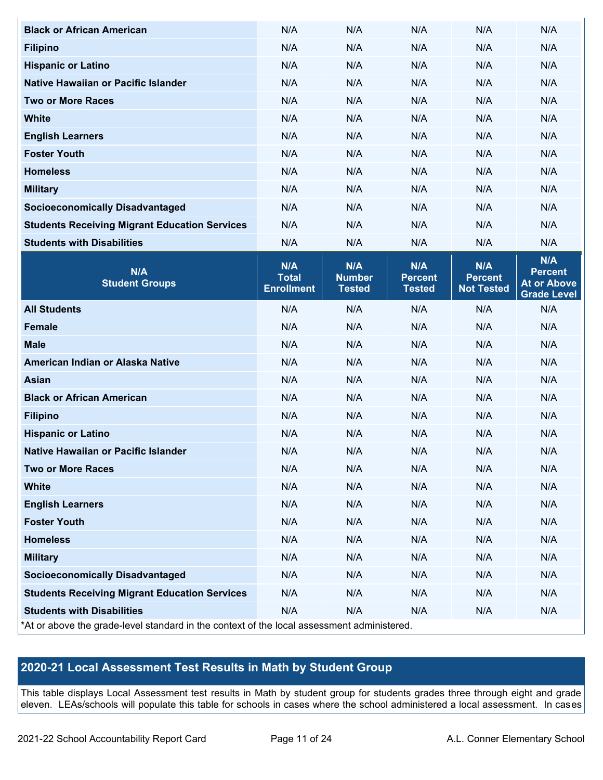| <b>Black or African American</b>                                                           | N/A                                      | N/A                                   | N/A                                    | N/A                                        | N/A                                                               |  |  |  |
|--------------------------------------------------------------------------------------------|------------------------------------------|---------------------------------------|----------------------------------------|--------------------------------------------|-------------------------------------------------------------------|--|--|--|
| <b>Filipino</b>                                                                            | N/A                                      | N/A                                   | N/A                                    | N/A                                        | N/A                                                               |  |  |  |
| <b>Hispanic or Latino</b>                                                                  | N/A                                      | N/A                                   | N/A                                    | N/A                                        | N/A                                                               |  |  |  |
| Native Hawaiian or Pacific Islander                                                        | N/A                                      | N/A                                   | N/A                                    | N/A                                        | N/A                                                               |  |  |  |
| <b>Two or More Races</b>                                                                   | N/A                                      | N/A                                   | N/A                                    | N/A                                        | N/A                                                               |  |  |  |
| <b>White</b>                                                                               | N/A                                      | N/A                                   | N/A                                    | N/A                                        | N/A                                                               |  |  |  |
| <b>English Learners</b>                                                                    | N/A                                      | N/A                                   | N/A                                    | N/A                                        | N/A                                                               |  |  |  |
| <b>Foster Youth</b>                                                                        | N/A                                      | N/A                                   | N/A                                    | N/A                                        | N/A                                                               |  |  |  |
| <b>Homeless</b>                                                                            | N/A                                      | N/A                                   | N/A                                    | N/A                                        | N/A                                                               |  |  |  |
| <b>Military</b>                                                                            | N/A                                      | N/A                                   | N/A                                    | N/A                                        | N/A                                                               |  |  |  |
| <b>Socioeconomically Disadvantaged</b>                                                     | N/A                                      | N/A                                   | N/A                                    | N/A                                        | N/A                                                               |  |  |  |
| <b>Students Receiving Migrant Education Services</b>                                       | N/A                                      | N/A                                   | N/A                                    | N/A                                        | N/A                                                               |  |  |  |
| <b>Students with Disabilities</b>                                                          | N/A                                      | N/A                                   | N/A                                    | N/A                                        | N/A                                                               |  |  |  |
| N/A<br><b>Student Groups</b>                                                               | N/A<br><b>Total</b><br><b>Enrollment</b> | N/A<br><b>Number</b><br><b>Tested</b> | N/A<br><b>Percent</b><br><b>Tested</b> | N/A<br><b>Percent</b><br><b>Not Tested</b> | N/A<br><b>Percent</b><br><b>At or Above</b><br><b>Grade Level</b> |  |  |  |
| <b>All Students</b>                                                                        | N/A                                      | N/A                                   | N/A                                    | N/A                                        | N/A                                                               |  |  |  |
| <b>Female</b>                                                                              | N/A                                      | N/A                                   | N/A                                    | N/A                                        | N/A                                                               |  |  |  |
| <b>Male</b>                                                                                | N/A                                      | N/A                                   | N/A                                    | N/A                                        | N/A                                                               |  |  |  |
| American Indian or Alaska Native                                                           | N/A                                      | N/A                                   | N/A                                    | N/A                                        | N/A                                                               |  |  |  |
| <b>Asian</b>                                                                               | N/A                                      | N/A                                   | N/A                                    | N/A                                        | N/A                                                               |  |  |  |
| <b>Black or African American</b>                                                           | N/A                                      | N/A                                   | N/A                                    | N/A                                        | N/A                                                               |  |  |  |
| <b>Filipino</b>                                                                            | N/A                                      | N/A                                   | N/A                                    | N/A                                        | N/A                                                               |  |  |  |
| <b>Hispanic or Latino</b>                                                                  | N/A                                      | N/A                                   | N/A                                    | N/A                                        | N/A                                                               |  |  |  |
| Native Hawaiian or Pacific Islander                                                        | N/A                                      | N/A                                   | N/A                                    | N/A                                        | N/A                                                               |  |  |  |
| <b>Two or More Races</b>                                                                   | N/A                                      | N/A                                   | N/A                                    | N/A                                        | N/A                                                               |  |  |  |
| <b>White</b>                                                                               | N/A                                      | N/A                                   | N/A                                    | N/A                                        | N/A                                                               |  |  |  |
| <b>English Learners</b>                                                                    | N/A                                      | N/A                                   | N/A                                    | N/A                                        | N/A                                                               |  |  |  |
| <b>Foster Youth</b>                                                                        | N/A                                      | N/A                                   | N/A                                    | N/A                                        | N/A                                                               |  |  |  |
| <b>Homeless</b>                                                                            | N/A                                      | N/A                                   | N/A                                    | N/A                                        | N/A                                                               |  |  |  |
| <b>Military</b>                                                                            | N/A                                      | N/A                                   | N/A                                    | N/A                                        | N/A                                                               |  |  |  |
| <b>Socioeconomically Disadvantaged</b>                                                     | N/A                                      | N/A                                   | N/A                                    | N/A                                        | N/A                                                               |  |  |  |
| <b>Students Receiving Migrant Education Services</b>                                       | N/A                                      | N/A                                   | N/A                                    | N/A                                        | N/A                                                               |  |  |  |
| <b>Students with Disabilities</b>                                                          | N/A                                      | N/A                                   | N/A                                    | N/A                                        | N/A                                                               |  |  |  |
| *At or above the grade-level standard in the context of the local assessment administered. |                                          |                                       |                                        |                                            |                                                                   |  |  |  |

# **2020-21 Local Assessment Test Results in Math by Student Group**

This table displays Local Assessment test results in Math by student group for students grades three through eight and grade eleven. LEAs/schools will populate this table for schools in cases where the school administered a local assessment. In cases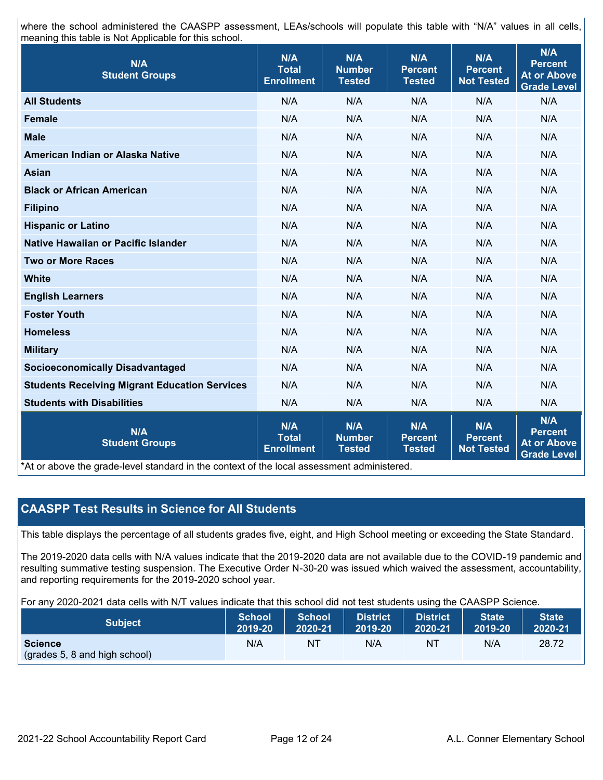where the school administered the CAASPP assessment, LEAs/schools will populate this table with "N/A" values in all cells, meaning this table is Not Applicable for this school.

| N/A<br><b>Student Groups</b>                         | N/A<br><b>Total</b><br><b>Enrollment</b>        | N/A<br><b>Number</b><br><b>Tested</b> | N/A<br><b>Percent</b><br><b>Tested</b> | N/A<br><b>Percent</b><br><b>Not Tested</b> | <b>N/A</b><br><b>Percent</b><br><b>At or Above</b><br><b>Grade Level</b> |
|------------------------------------------------------|-------------------------------------------------|---------------------------------------|----------------------------------------|--------------------------------------------|--------------------------------------------------------------------------|
| <b>All Students</b>                                  | N/A                                             | N/A                                   | N/A                                    | N/A                                        | N/A                                                                      |
| <b>Female</b>                                        | N/A                                             | N/A                                   | N/A                                    | N/A                                        | N/A                                                                      |
| <b>Male</b>                                          | N/A                                             | N/A                                   | N/A                                    | N/A                                        | N/A                                                                      |
| American Indian or Alaska Native                     | N/A                                             | N/A                                   | N/A                                    | N/A                                        | N/A                                                                      |
| <b>Asian</b>                                         | N/A                                             | N/A                                   | N/A                                    | N/A                                        | N/A                                                                      |
| <b>Black or African American</b>                     | N/A                                             | N/A                                   | N/A                                    | N/A                                        | N/A                                                                      |
| <b>Filipino</b>                                      | N/A                                             | N/A                                   | N/A                                    | N/A                                        | N/A                                                                      |
| <b>Hispanic or Latino</b>                            | N/A                                             | N/A                                   | N/A                                    | N/A                                        | N/A                                                                      |
| Native Hawaiian or Pacific Islander                  | N/A                                             | N/A                                   | N/A                                    | N/A                                        | N/A                                                                      |
| <b>Two or More Races</b>                             | N/A                                             | N/A                                   | N/A                                    | N/A                                        | N/A                                                                      |
| <b>White</b>                                         | N/A                                             | N/A                                   | N/A                                    | N/A                                        | N/A                                                                      |
| <b>English Learners</b>                              | N/A                                             | N/A                                   | N/A                                    | N/A                                        | N/A                                                                      |
| <b>Foster Youth</b>                                  | N/A                                             | N/A                                   | N/A                                    | N/A                                        | N/A                                                                      |
| <b>Homeless</b>                                      | N/A                                             | N/A                                   | N/A                                    | N/A                                        | N/A                                                                      |
| <b>Military</b>                                      | N/A                                             | N/A                                   | N/A                                    | N/A                                        | N/A                                                                      |
| <b>Socioeconomically Disadvantaged</b>               | N/A                                             | N/A                                   | N/A                                    | N/A                                        | N/A                                                                      |
| <b>Students Receiving Migrant Education Services</b> | N/A                                             | N/A                                   | N/A                                    | N/A                                        | N/A                                                                      |
| <b>Students with Disabilities</b>                    | N/A                                             | N/A                                   | N/A                                    | N/A                                        | N/A                                                                      |
| N/A<br><b>Student Groups</b>                         | <b>N/A</b><br><b>Total</b><br><b>Enrollment</b> | N/A<br><b>Number</b><br><b>Tested</b> | N/A<br><b>Percent</b><br><b>Tested</b> | N/A<br><b>Percent</b><br><b>Not Tested</b> | N/A<br><b>Percent</b><br><b>At or Above</b><br><b>Grade Level</b>        |

\*At or above the grade-level standard in the context of the local assessment administered.

#### **CAASPP Test Results in Science for All Students**

This table displays the percentage of all students grades five, eight, and High School meeting or exceeding the State Standard.

The 2019-2020 data cells with N/A values indicate that the 2019-2020 data are not available due to the COVID-19 pandemic and resulting summative testing suspension. The Executive Order N-30-20 was issued which waived the assessment, accountability, and reporting requirements for the 2019-2020 school year.

For any 2020-2021 data cells with N/T values indicate that this school did not test students using the CAASPP Science.

| <b>Subject</b>                                  | <b>School</b> | School <sup>1</sup> | <b>District</b> | District                | <b>State</b> | State <sup>1</sup> |
|-------------------------------------------------|---------------|---------------------|-----------------|-------------------------|--------------|--------------------|
|                                                 | 2019-20       | 2020-21             | 2019-20         | $\blacksquare$ 2020-21' | 2019-20      | 2020-21            |
| <b>Science</b><br>(grades 5, 8 and high school) | N/A           | NT                  | N/A             | 'NT                     | N/A          | 28.72              |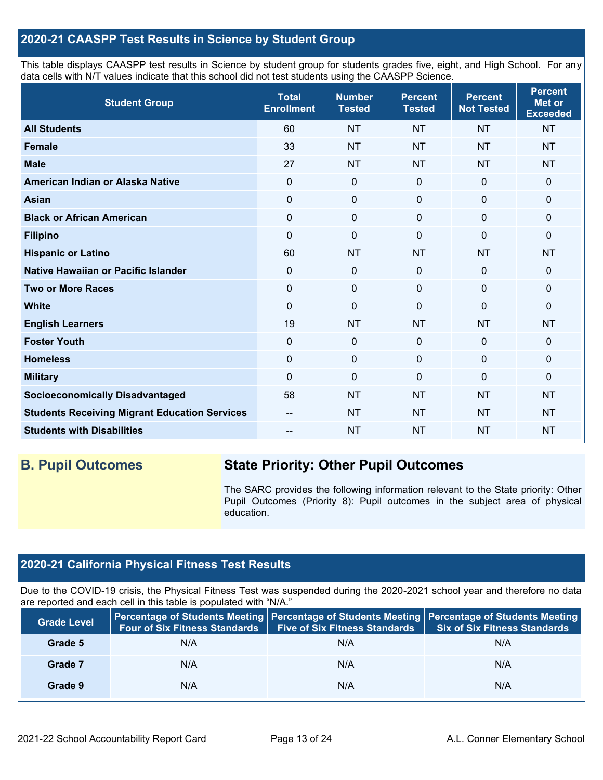### **2020-21 CAASPP Test Results in Science by Student Group**

This table displays CAASPP test results in Science by student group for students grades five, eight, and High School. For any data cells with N/T values indicate that this school did not test students using the CAASPP Science.

| <b>Student Group</b>                                 | <b>Total</b><br><b>Enrollment</b> | <b>Number</b><br><b>Tested</b> | <b>Percent</b><br><b>Tested</b> | <b>Percent</b><br><b>Not Tested</b> | <b>Percent</b><br><b>Met or</b><br><b>Exceeded</b> |
|------------------------------------------------------|-----------------------------------|--------------------------------|---------------------------------|-------------------------------------|----------------------------------------------------|
| <b>All Students</b>                                  | 60                                | <b>NT</b>                      | <b>NT</b>                       | <b>NT</b>                           | <b>NT</b>                                          |
| Female                                               | 33                                | <b>NT</b>                      | <b>NT</b>                       | <b>NT</b>                           | <b>NT</b>                                          |
| <b>Male</b>                                          | 27                                | <b>NT</b>                      | <b>NT</b>                       | <b>NT</b>                           | <b>NT</b>                                          |
| American Indian or Alaska Native                     | $\Omega$                          | $\mathbf 0$                    | $\mathbf 0$                     | $\mathbf{0}$                        | $\mathbf 0$                                        |
| <b>Asian</b>                                         | $\mathbf 0$                       | $\pmb{0}$                      | $\mathbf 0$                     | $\mathbf 0$                         | 0                                                  |
| <b>Black or African American</b>                     | $\mathbf 0$                       | $\pmb{0}$                      | $\mathbf 0$                     | 0                                   | 0                                                  |
| <b>Filipino</b>                                      | $\mathbf 0$                       | $\pmb{0}$                      | $\Omega$                        | $\Omega$                            | 0                                                  |
| <b>Hispanic or Latino</b>                            | 60                                | <b>NT</b>                      | <b>NT</b>                       | <b>NT</b>                           | <b>NT</b>                                          |
| Native Hawaiian or Pacific Islander                  | $\Omega$                          | $\pmb{0}$                      | $\Omega$                        | $\mathbf 0$                         | 0                                                  |
| <b>Two or More Races</b>                             | 0                                 | $\mathbf 0$                    | 0                               | $\Omega$                            | 0                                                  |
| <b>White</b>                                         | $\Omega$                          | $\mathbf 0$                    | $\Omega$                        | $\mathbf{0}$                        | 0                                                  |
| <b>English Learners</b>                              | 19                                | <b>NT</b>                      | <b>NT</b>                       | <b>NT</b>                           | <b>NT</b>                                          |
| <b>Foster Youth</b>                                  | $\mathbf 0$                       | $\mathbf 0$                    | $\mathbf 0$                     | $\mathbf 0$                         | $\mathbf 0$                                        |
| <b>Homeless</b>                                      | $\mathbf 0$                       | $\pmb{0}$                      | $\mathbf 0$                     | $\mathbf 0$                         | 0                                                  |
| <b>Military</b>                                      | 0                                 | $\mathbf 0$                    | 0                               | 0                                   | 0                                                  |
| <b>Socioeconomically Disadvantaged</b>               | 58                                | <b>NT</b>                      | <b>NT</b>                       | <b>NT</b>                           | <b>NT</b>                                          |
| <b>Students Receiving Migrant Education Services</b> | --                                | <b>NT</b>                      | <b>NT</b>                       | <b>NT</b>                           | <b>NT</b>                                          |
| <b>Students with Disabilities</b>                    |                                   | <b>NT</b>                      | <b>NT</b>                       | <b>NT</b>                           | <b>NT</b>                                          |

# **B. Pupil Outcomes State Priority: Other Pupil Outcomes**

The SARC provides the following information relevant to the State priority: Other Pupil Outcomes (Priority 8): Pupil outcomes in the subject area of physical education.

# **2020-21 California Physical Fitness Test Results**

Due to the COVID-19 crisis, the Physical Fitness Test was suspended during the 2020-2021 school year and therefore no data are reported and each cell in this table is populated with "N/A."

| <b>Grade Level</b> | <b>Four of Six Fitness Standards</b> | <b>Five of Six Fitness Standards</b> | Percentage of Students Meeting   Percentage of Students Meeting   Percentage of Students Meeting<br><b>Six of Six Fitness Standards</b> |
|--------------------|--------------------------------------|--------------------------------------|-----------------------------------------------------------------------------------------------------------------------------------------|
| Grade 5            | N/A                                  | N/A                                  | N/A                                                                                                                                     |
| Grade 7            | N/A                                  | N/A                                  | N/A                                                                                                                                     |
| Grade 9            | N/A                                  | N/A                                  | N/A                                                                                                                                     |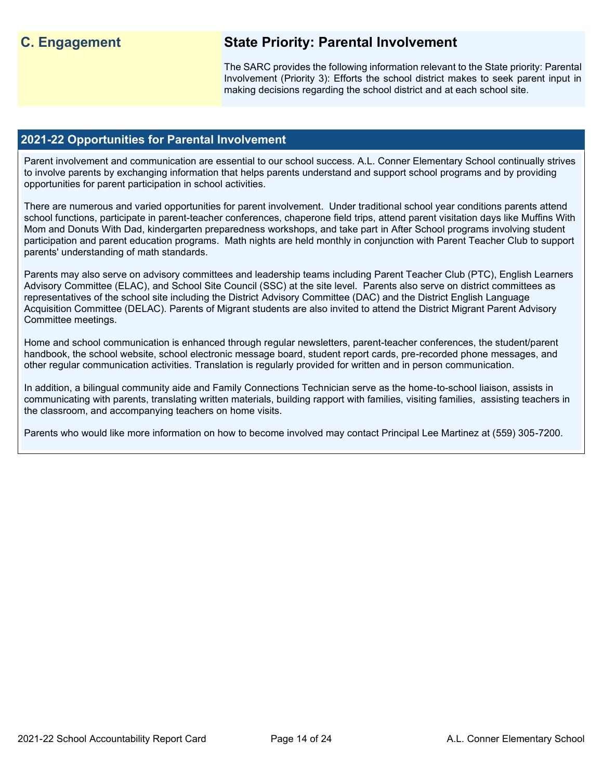# **C. Engagement State Priority: Parental Involvement**

The SARC provides the following information relevant to the State priority: Parental Involvement (Priority 3): Efforts the school district makes to seek parent input in making decisions regarding the school district and at each school site.

#### **2021-22 Opportunities for Parental Involvement**

Parent involvement and communication are essential to our school success. A.L. Conner Elementary School continually strives to involve parents by exchanging information that helps parents understand and support school programs and by providing opportunities for parent participation in school activities.

There are numerous and varied opportunities for parent involvement. Under traditional school year conditions parents attend school functions, participate in parent-teacher conferences, chaperone field trips, attend parent visitation days like Muffins With Mom and Donuts With Dad, kindergarten preparedness workshops, and take part in After School programs involving student participation and parent education programs. Math nights are held monthly in conjunction with Parent Teacher Club to support parents' understanding of math standards.

Parents may also serve on advisory committees and leadership teams including Parent Teacher Club (PTC), English Learners Advisory Committee (ELAC), and School Site Council (SSC) at the site level. Parents also serve on district committees as representatives of the school site including the District Advisory Committee (DAC) and the District English Language Acquisition Committee (DELAC). Parents of Migrant students are also invited to attend the District Migrant Parent Advisory Committee meetings.

Home and school communication is enhanced through regular newsletters, parent-teacher conferences, the student/parent handbook, the school website, school electronic message board, student report cards, pre-recorded phone messages, and other regular communication activities. Translation is regularly provided for written and in person communication.

In addition, a bilingual community aide and Family Connections Technician serve as the home-to-school liaison, assists in communicating with parents, translating written materials, building rapport with families, visiting families, assisting teachers in the classroom, and accompanying teachers on home visits.

Parents who would like more information on how to become involved may contact Principal Lee Martinez at (559) 305-7200.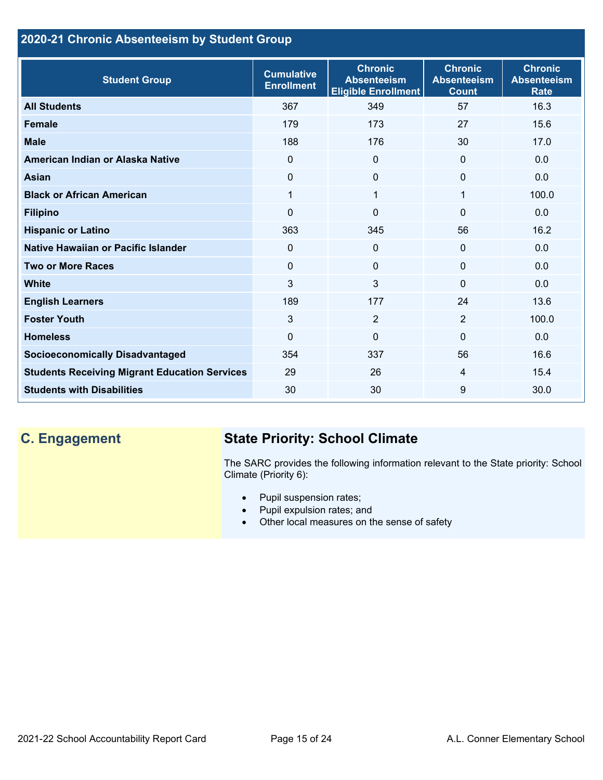# **2020-21 Chronic Absenteeism by Student Group**

| <b>Student Group</b>                                 | <b>Cumulative</b><br><b>Enrollment</b> | <b>Chronic</b><br><b>Absenteeism</b><br><b>Eligible Enrollment</b> | <b>Chronic</b><br><b>Absenteeism</b><br><b>Count</b> | <b>Chronic</b><br><b>Absenteeism</b><br><b>Rate</b> |
|------------------------------------------------------|----------------------------------------|--------------------------------------------------------------------|------------------------------------------------------|-----------------------------------------------------|
| <b>All Students</b>                                  | 367                                    | 349                                                                | 57                                                   | 16.3                                                |
| <b>Female</b>                                        | 179                                    | 173                                                                | 27                                                   | 15.6                                                |
| <b>Male</b>                                          | 188                                    | 176                                                                | 30                                                   | 17.0                                                |
| American Indian or Alaska Native                     | $\Omega$                               | $\Omega$                                                           | $\mathbf{0}$                                         | 0.0                                                 |
| <b>Asian</b>                                         | 0                                      | $\Omega$                                                           | $\mathbf 0$                                          | 0.0                                                 |
| <b>Black or African American</b>                     | 1                                      | $\mathbf 1$                                                        | 1                                                    | 100.0                                               |
| <b>Filipino</b>                                      | $\Omega$                               | $\mathbf 0$                                                        | $\mathbf{0}$                                         | 0.0                                                 |
| <b>Hispanic or Latino</b>                            | 363                                    | 345                                                                | 56                                                   | 16.2                                                |
| Native Hawaiian or Pacific Islander                  | 0                                      | $\mathbf 0$                                                        | $\mathbf 0$                                          | 0.0                                                 |
| <b>Two or More Races</b>                             | 0                                      | $\mathbf{0}$                                                       | $\mathbf{0}$                                         | 0.0                                                 |
| <b>White</b>                                         | 3                                      | 3                                                                  | $\Omega$                                             | 0.0                                                 |
| <b>English Learners</b>                              | 189                                    | 177                                                                | 24                                                   | 13.6                                                |
| <b>Foster Youth</b>                                  | 3                                      | $\overline{2}$                                                     | 2                                                    | 100.0                                               |
| <b>Homeless</b>                                      | 0                                      | $\mathbf 0$                                                        | $\Omega$                                             | 0.0                                                 |
| <b>Socioeconomically Disadvantaged</b>               | 354                                    | 337                                                                | 56                                                   | 16.6                                                |
| <b>Students Receiving Migrant Education Services</b> | 29                                     | 26                                                                 | $\overline{4}$                                       | 15.4                                                |
| <b>Students with Disabilities</b>                    | 30                                     | 30                                                                 | 9                                                    | 30.0                                                |

# **C. Engagement State Priority: School Climate**

The SARC provides the following information relevant to the State priority: School Climate (Priority 6):

- Pupil suspension rates;
- Pupil expulsion rates; and
- Other local measures on the sense of safety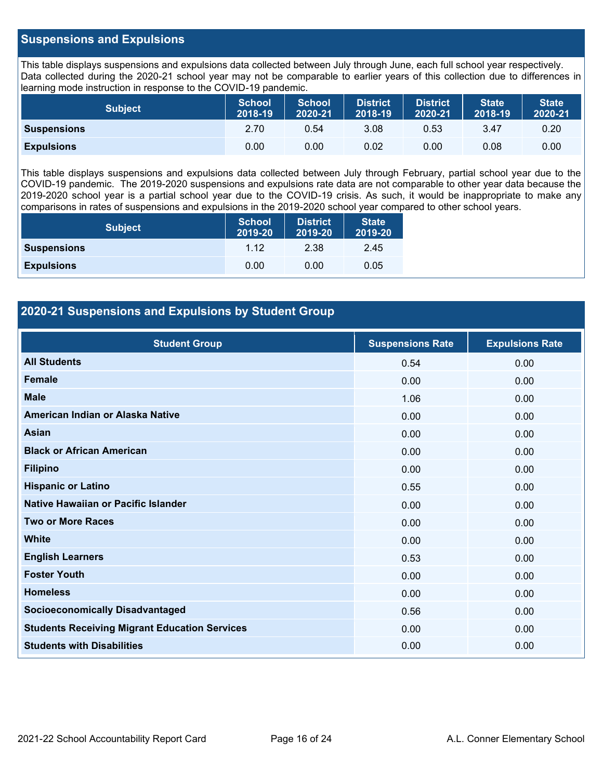#### **Suspensions and Expulsions**

This table displays suspensions and expulsions data collected between July through June, each full school year respectively. Data collected during the 2020-21 school year may not be comparable to earlier years of this collection due to differences in learning mode instruction in response to the COVID-19 pandemic.

| <b>Subject</b>     | <b>School</b><br>2018-19 | <b>School</b><br>2020-21 | <b>District</b><br>2018-19 | <b>District</b><br>2020-21 | <b>State</b><br>2018-19 | <b>State</b><br>2020-21 |
|--------------------|--------------------------|--------------------------|----------------------------|----------------------------|-------------------------|-------------------------|
| <b>Suspensions</b> | 2.70                     | 0.54                     | 3.08                       | 0.53                       | 3.47                    | 0.20                    |
| <b>Expulsions</b>  | 0.00                     | 0.00                     | 0.02                       | 0.00                       | 0.08                    | 0.00                    |

This table displays suspensions and expulsions data collected between July through February, partial school year due to the COVID-19 pandemic. The 2019-2020 suspensions and expulsions rate data are not comparable to other year data because the 2019-2020 school year is a partial school year due to the COVID-19 crisis. As such, it would be inappropriate to make any comparisons in rates of suspensions and expulsions in the 2019-2020 school year compared to other school years.

| <b>Subject</b>     | School<br>2019-20 | <b>District</b><br>2019-20 | <b>State</b><br>2019-20 |
|--------------------|-------------------|----------------------------|-------------------------|
| <b>Suspensions</b> | 1 1 2             | 2.38                       | 2.45                    |
| <b>Expulsions</b>  | 0.00              | 0.00                       | 0.05                    |

### **2020-21 Suspensions and Expulsions by Student Group**

| <b>Student Group</b>                                 | <b>Suspensions Rate</b> | <b>Expulsions Rate</b> |
|------------------------------------------------------|-------------------------|------------------------|
| <b>All Students</b>                                  | 0.54                    | 0.00                   |
| <b>Female</b>                                        | 0.00                    | 0.00                   |
| <b>Male</b>                                          | 1.06                    | 0.00                   |
| American Indian or Alaska Native                     | 0.00                    | 0.00                   |
| <b>Asian</b>                                         | 0.00                    | 0.00                   |
| <b>Black or African American</b>                     | 0.00                    | 0.00                   |
| <b>Filipino</b>                                      | 0.00                    | 0.00                   |
| <b>Hispanic or Latino</b>                            | 0.55                    | 0.00                   |
| Native Hawaiian or Pacific Islander                  | 0.00                    | 0.00                   |
| <b>Two or More Races</b>                             | 0.00                    | 0.00                   |
| <b>White</b>                                         | 0.00                    | 0.00                   |
| <b>English Learners</b>                              | 0.53                    | 0.00                   |
| <b>Foster Youth</b>                                  | 0.00                    | 0.00                   |
| <b>Homeless</b>                                      | 0.00                    | 0.00                   |
| <b>Socioeconomically Disadvantaged</b>               | 0.56                    | 0.00                   |
| <b>Students Receiving Migrant Education Services</b> | 0.00                    | 0.00                   |
| <b>Students with Disabilities</b>                    | 0.00                    | 0.00                   |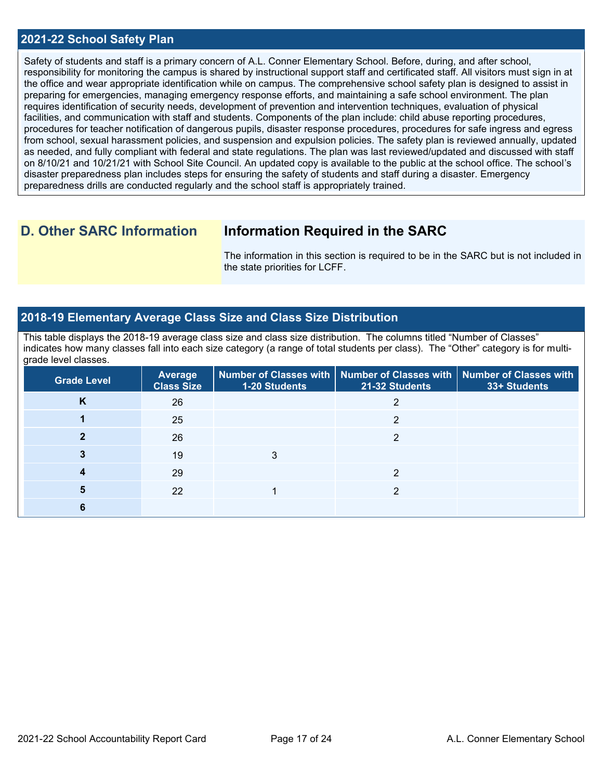#### **2021-22 School Safety Plan**

Safety of students and staff is a primary concern of A.L. Conner Elementary School. Before, during, and after school, responsibility for monitoring the campus is shared by instructional support staff and certificated staff. All visitors must sign in at the office and wear appropriate identification while on campus. The comprehensive school safety plan is designed to assist in preparing for emergencies, managing emergency response efforts, and maintaining a safe school environment. The plan requires identification of security needs, development of prevention and intervention techniques, evaluation of physical facilities, and communication with staff and students. Components of the plan include: child abuse reporting procedures, procedures for teacher notification of dangerous pupils, disaster response procedures, procedures for safe ingress and egress from school, sexual harassment policies, and suspension and expulsion policies. The safety plan is reviewed annually, updated as needed, and fully compliant with federal and state regulations. The plan was last reviewed/updated and discussed with staff on 8/10/21 and 10/21/21 with School Site Council. An updated copy is available to the public at the school office. The school's disaster preparedness plan includes steps for ensuring the safety of students and staff during a disaster. Emergency preparedness drills are conducted regularly and the school staff is appropriately trained.

# **D. Other SARC Information Information Required in the SARC**

The information in this section is required to be in the SARC but is not included in the state priorities for LCFF.

### **2018-19 Elementary Average Class Size and Class Size Distribution**

This table displays the 2018-19 average class size and class size distribution. The columns titled "Number of Classes" indicates how many classes fall into each size category (a range of total students per class). The "Other" category is for multigrade level classes.

| <b>Grade Level</b> | <b>Average</b><br><b>Class Size</b> | <b>1-20 Students</b> | Number of Classes with   Number of Classes with   Number of Classes with<br>21-32 Students | 33+ Students |
|--------------------|-------------------------------------|----------------------|--------------------------------------------------------------------------------------------|--------------|
| Κ                  | 26                                  |                      |                                                                                            |              |
|                    | 25                                  |                      | າ                                                                                          |              |
|                    | 26                                  |                      | າ                                                                                          |              |
|                    | 19                                  | 3                    |                                                                                            |              |
|                    | 29                                  |                      | റ                                                                                          |              |
| 5                  | 22                                  |                      | റ                                                                                          |              |
| 6                  |                                     |                      |                                                                                            |              |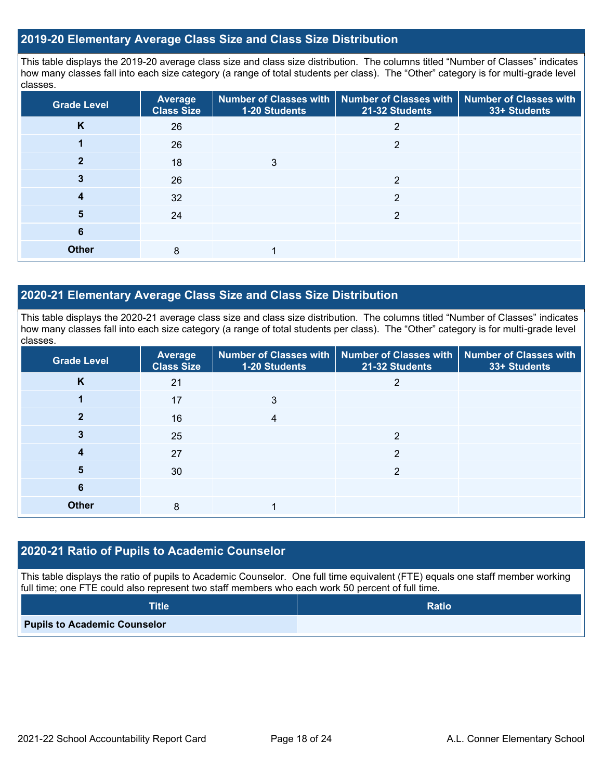#### **2019-20 Elementary Average Class Size and Class Size Distribution**

This table displays the 2019-20 average class size and class size distribution. The columns titled "Number of Classes" indicates how many classes fall into each size category (a range of total students per class). The "Other" category is for multi-grade level classes.

| <b>Grade Level</b> | Average<br><b>Class Size</b> | 1-20 Students | Number of Classes with   Number of Classes with  <br>21-32 Students | <b>Number of Classes with</b><br>33+ Students |
|--------------------|------------------------------|---------------|---------------------------------------------------------------------|-----------------------------------------------|
| K                  | 26                           |               | 2                                                                   |                                               |
|                    | 26                           |               | 2                                                                   |                                               |
|                    | 18                           | 3             |                                                                     |                                               |
| 3                  | 26                           |               | 2                                                                   |                                               |
| 4                  | 32                           |               | 2                                                                   |                                               |
| 5                  | 24                           |               | 2                                                                   |                                               |
| 6                  |                              |               |                                                                     |                                               |
| <b>Other</b>       | 8                            |               |                                                                     |                                               |

#### **2020-21 Elementary Average Class Size and Class Size Distribution**

This table displays the 2020-21 average class size and class size distribution. The columns titled "Number of Classes" indicates how many classes fall into each size category (a range of total students per class). The "Other" category is for multi-grade level classes.

| <b>Grade Level</b> | <b>Average</b><br><b>Class Size</b> | 1-20 Students | Number of Classes with   Number of Classes with   Number of Classes with<br>21-32 Students | 33+ Students |
|--------------------|-------------------------------------|---------------|--------------------------------------------------------------------------------------------|--------------|
| K                  | 21                                  |               | 2                                                                                          |              |
|                    | 17                                  | 3             |                                                                                            |              |
| 2                  | 16                                  | 4             |                                                                                            |              |
| 3                  | 25                                  |               | 2                                                                                          |              |
|                    | 27                                  |               | っ                                                                                          |              |
| 5                  | 30                                  |               | 2                                                                                          |              |
| 6                  |                                     |               |                                                                                            |              |
| <b>Other</b>       | 8                                   |               |                                                                                            |              |

#### **2020-21 Ratio of Pupils to Academic Counselor**

This table displays the ratio of pupils to Academic Counselor. One full time equivalent (FTE) equals one staff member working full time; one FTE could also represent two staff members who each work 50 percent of full time.

| <b>Title</b>                        | <b>Ratio</b> |
|-------------------------------------|--------------|
| <b>Pupils to Academic Counselor</b> |              |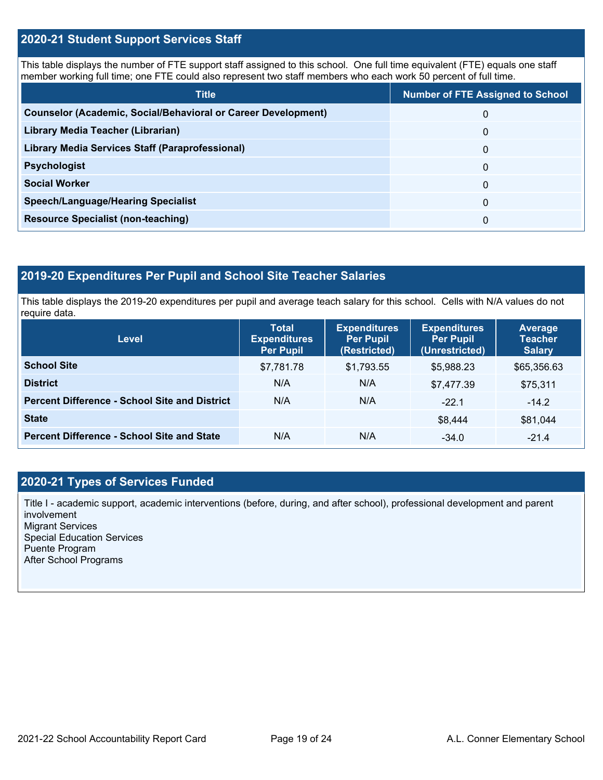#### **2020-21 Student Support Services Staff**

This table displays the number of FTE support staff assigned to this school. One full time equivalent (FTE) equals one staff member working full time; one FTE could also represent two staff members who each work 50 percent of full time.

| <b>Title</b>                                                         | <b>Number of FTE Assigned to School</b> |
|----------------------------------------------------------------------|-----------------------------------------|
| <b>Counselor (Academic, Social/Behavioral or Career Development)</b> | 0                                       |
| Library Media Teacher (Librarian)                                    | 0                                       |
| Library Media Services Staff (Paraprofessional)                      | 0                                       |
| <b>Psychologist</b>                                                  | 0                                       |
| <b>Social Worker</b>                                                 | $\Omega$                                |
| <b>Speech/Language/Hearing Specialist</b>                            | 0                                       |
| <b>Resource Specialist (non-teaching)</b>                            | 0                                       |

### **2019-20 Expenditures Per Pupil and School Site Teacher Salaries**

This table displays the 2019-20 expenditures per pupil and average teach salary for this school. Cells with N/A values do not require data.

| Level                                                | <b>Total</b><br><b>Expenditures</b><br><b>Per Pupil</b> | <b>Expenditures</b><br><b>Per Pupil</b><br>(Restricted) | <b>Expenditures</b><br><b>Per Pupil</b><br>(Unrestricted) | <b>Average</b><br><b>Teacher</b><br><b>Salary</b> |
|------------------------------------------------------|---------------------------------------------------------|---------------------------------------------------------|-----------------------------------------------------------|---------------------------------------------------|
| <b>School Site</b>                                   | \$7,781.78                                              | \$1,793.55                                              | \$5,988.23                                                | \$65,356.63                                       |
| <b>District</b>                                      | N/A                                                     | N/A                                                     | \$7,477.39                                                | \$75,311                                          |
| <b>Percent Difference - School Site and District</b> | N/A                                                     | N/A                                                     | $-22.1$                                                   | $-14.2$                                           |
| <b>State</b>                                         |                                                         |                                                         | \$8,444                                                   | \$81,044                                          |
| <b>Percent Difference - School Site and State</b>    | N/A                                                     | N/A                                                     | $-34.0$                                                   | $-21.4$                                           |

#### **2020-21 Types of Services Funded**

Title I - academic support, academic interventions (before, during, and after school), professional development and parent involvement Migrant Services Special Education Services Puente Program After School Programs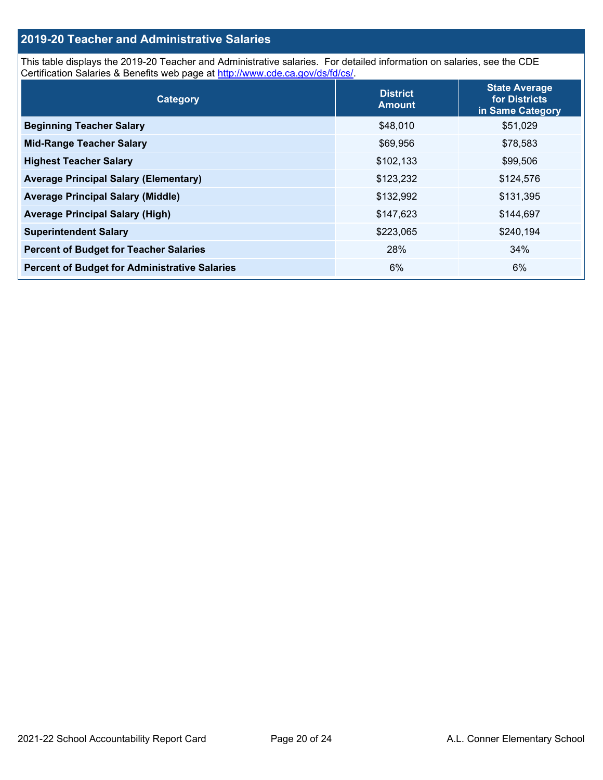### **2019-20 Teacher and Administrative Salaries**

This table displays the 2019-20 Teacher and Administrative salaries. For detailed information on salaries, see the CDE Certification Salaries & Benefits web page at [http://www.cde.ca.gov/ds/fd/cs/.](http://www.cde.ca.gov/ds/fd/cs/)

| Category                                             | <b>District</b><br><b>Amount</b> | <b>State Average</b><br>for Districts<br>in Same Category |
|------------------------------------------------------|----------------------------------|-----------------------------------------------------------|
| <b>Beginning Teacher Salary</b>                      | \$48,010                         | \$51,029                                                  |
| <b>Mid-Range Teacher Salary</b>                      | \$69,956                         | \$78,583                                                  |
| <b>Highest Teacher Salary</b>                        | \$102,133                        | \$99,506                                                  |
| <b>Average Principal Salary (Elementary)</b>         | \$123,232                        | \$124,576                                                 |
| <b>Average Principal Salary (Middle)</b>             | \$132,992                        | \$131,395                                                 |
| <b>Average Principal Salary (High)</b>               | \$147,623                        | \$144,697                                                 |
| <b>Superintendent Salary</b>                         | \$223,065                        | \$240,194                                                 |
| <b>Percent of Budget for Teacher Salaries</b>        | 28%                              | 34%                                                       |
| <b>Percent of Budget for Administrative Salaries</b> | 6%                               | 6%                                                        |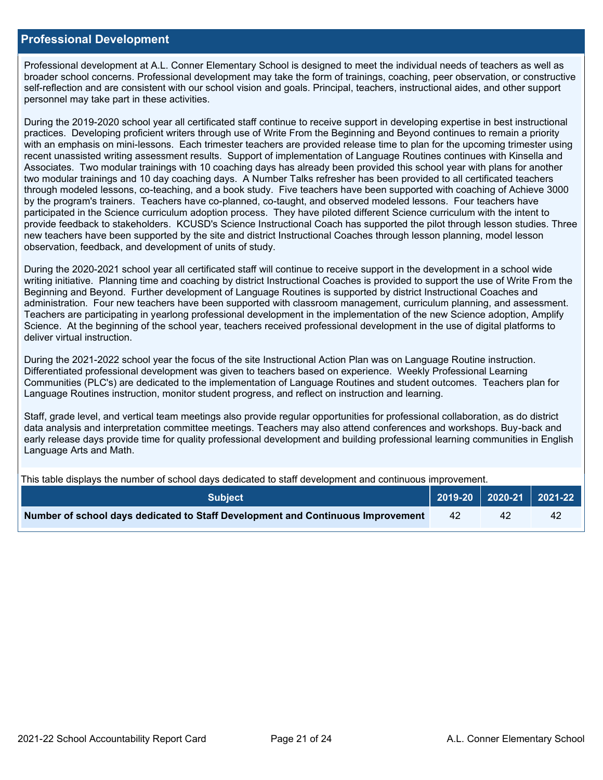#### **Professional Development**

Professional development at A.L. Conner Elementary School is designed to meet the individual needs of teachers as well as broader school concerns. Professional development may take the form of trainings, coaching, peer observation, or constructive self-reflection and are consistent with our school vision and goals. Principal, teachers, instructional aides, and other support personnel may take part in these activities.

During the 2019-2020 school year all certificated staff continue to receive support in developing expertise in best instructional practices. Developing proficient writers through use of Write From the Beginning and Beyond continues to remain a priority with an emphasis on mini-lessons. Each trimester teachers are provided release time to plan for the upcoming trimester using recent unassisted writing assessment results. Support of implementation of Language Routines continues with Kinsella and Associates. Two modular trainings with 10 coaching days has already been provided this school year with plans for another two modular trainings and 10 day coaching days. A Number Talks refresher has been provided to all certificated teachers through modeled lessons, co-teaching, and a book study. Five teachers have been supported with coaching of Achieve 3000 by the program's trainers. Teachers have co-planned, co-taught, and observed modeled lessons. Four teachers have participated in the Science curriculum adoption process. They have piloted different Science curriculum with the intent to provide feedback to stakeholders. KCUSD's Science Instructional Coach has supported the pilot through lesson studies. Three new teachers have been supported by the site and district Instructional Coaches through lesson planning, model lesson observation, feedback, and development of units of study.

During the 2020-2021 school year all certificated staff will continue to receive support in the development in a school wide writing initiative. Planning time and coaching by district Instructional Coaches is provided to support the use of Write From the Beginning and Beyond. Further development of Language Routines is supported by district Instructional Coaches and administration. Four new teachers have been supported with classroom management, curriculum planning, and assessment. Teachers are participating in yearlong professional development in the implementation of the new Science adoption, Amplify Science. At the beginning of the school year, teachers received professional development in the use of digital platforms to deliver virtual instruction.

During the 2021-2022 school year the focus of the site Instructional Action Plan was on Language Routine instruction. Differentiated professional development was given to teachers based on experience. Weekly Professional Learning Communities (PLC's) are dedicated to the implementation of Language Routines and student outcomes. Teachers plan for Language Routines instruction, monitor student progress, and reflect on instruction and learning.

Staff, grade level, and vertical team meetings also provide regular opportunities for professional collaboration, as do district data analysis and interpretation committee meetings. Teachers may also attend conferences and workshops. Buy-back and early release days provide time for quality professional development and building professional learning communities in English Language Arts and Math.

This table displays the number of school days dedicated to staff development and continuous improvement.

| <b>Subject</b>                                                                  |     | 2019-20   2020-21   2021-22 |    |
|---------------------------------------------------------------------------------|-----|-----------------------------|----|
| Number of school days dedicated to Staff Development and Continuous Improvement | -42 |                             | 42 |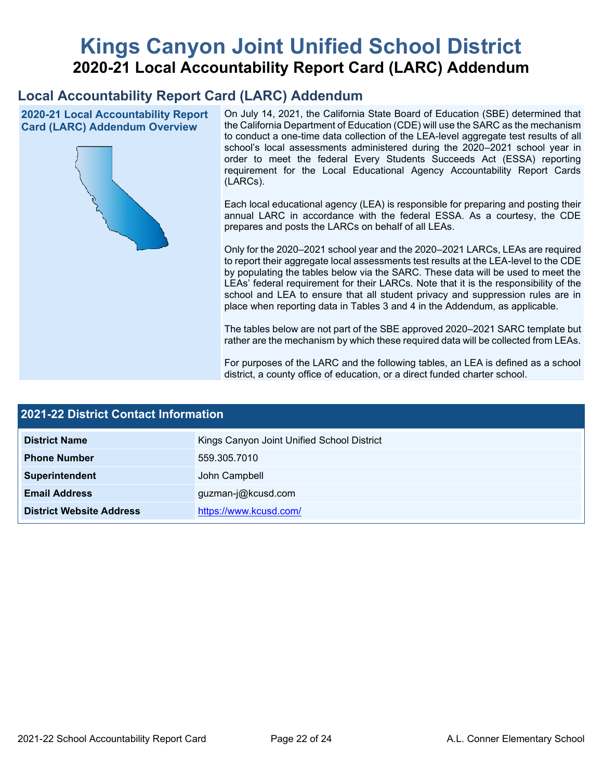# **Kings Canyon Joint Unified School District 2020-21 Local Accountability Report Card (LARC) Addendum**

# **Local Accountability Report Card (LARC) Addendum**

**2020-21 Local Accountability Report Card (LARC) Addendum Overview**



On July 14, 2021, the California State Board of Education (SBE) determined that the California Department of Education (CDE) will use the SARC as the mechanism to conduct a one-time data collection of the LEA-level aggregate test results of all school's local assessments administered during the 2020–2021 school year in order to meet the federal Every Students Succeeds Act (ESSA) reporting requirement for the Local Educational Agency Accountability Report Cards (LARCs).

Each local educational agency (LEA) is responsible for preparing and posting their annual LARC in accordance with the federal ESSA. As a courtesy, the CDE prepares and posts the LARCs on behalf of all LEAs.

Only for the 2020–2021 school year and the 2020–2021 LARCs, LEAs are required to report their aggregate local assessments test results at the LEA-level to the CDE by populating the tables below via the SARC. These data will be used to meet the LEAs' federal requirement for their LARCs. Note that it is the responsibility of the school and LEA to ensure that all student privacy and suppression rules are in place when reporting data in Tables 3 and 4 in the Addendum, as applicable.

The tables below are not part of the SBE approved 2020–2021 SARC template but rather are the mechanism by which these required data will be collected from LEAs.

For purposes of the LARC and the following tables, an LEA is defined as a school district, a county office of education, or a direct funded charter school.

| <b>2021-22 District Contact Information</b> |                                            |  |  |  |
|---------------------------------------------|--------------------------------------------|--|--|--|
| <b>District Name</b>                        | Kings Canyon Joint Unified School District |  |  |  |
| <b>Phone Number</b>                         | 559.305.7010                               |  |  |  |
| Superintendent                              | John Campbell                              |  |  |  |
| <b>Email Address</b>                        | guzman-j@kcusd.com                         |  |  |  |
| <b>District Website Address</b>             | https://www.kcusd.com/                     |  |  |  |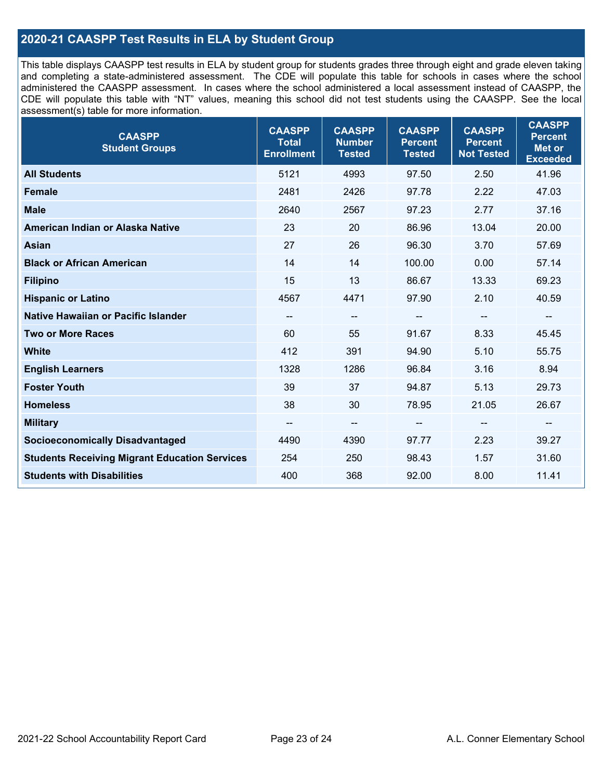### **2020-21 CAASPP Test Results in ELA by Student Group**

This table displays CAASPP test results in ELA by student group for students grades three through eight and grade eleven taking and completing a state-administered assessment. The CDE will populate this table for schools in cases where the school administered the CAASPP assessment. In cases where the school administered a local assessment instead of CAASPP, the CDE will populate this table with "NT" values, meaning this school did not test students using the CAASPP. See the local assessment(s) table for more information.

| <b>CAASPP</b><br><b>Student Groups</b>               | <b>CAASPP</b><br><b>Total</b><br><b>Enrollment</b> | <b>CAASPP</b><br><b>Number</b><br><b>Tested</b> | <b>CAASPP</b><br><b>Percent</b><br><b>Tested</b> | <b>CAASPP</b><br><b>Percent</b><br><b>Not Tested</b> | <b>CAASPP</b><br><b>Percent</b><br><b>Met or</b><br><b>Exceeded</b> |
|------------------------------------------------------|----------------------------------------------------|-------------------------------------------------|--------------------------------------------------|------------------------------------------------------|---------------------------------------------------------------------|
| <b>All Students</b>                                  | 5121                                               | 4993                                            | 97.50                                            | 2.50                                                 | 41.96                                                               |
| <b>Female</b>                                        | 2481                                               | 2426                                            | 97.78                                            | 2.22                                                 | 47.03                                                               |
| <b>Male</b>                                          | 2640                                               | 2567                                            | 97.23                                            | 2.77                                                 | 37.16                                                               |
| American Indian or Alaska Native                     | 23                                                 | 20                                              | 86.96                                            | 13.04                                                | 20.00                                                               |
| <b>Asian</b>                                         | 27                                                 | 26                                              | 96.30                                            | 3.70                                                 | 57.69                                                               |
| <b>Black or African American</b>                     | 14                                                 | 14                                              | 100.00                                           | 0.00                                                 | 57.14                                                               |
| <b>Filipino</b>                                      | 15                                                 | 13                                              | 86.67                                            | 13.33                                                | 69.23                                                               |
| <b>Hispanic or Latino</b>                            | 4567                                               | 4471                                            | 97.90                                            | 2.10                                                 | 40.59                                                               |
| <b>Native Hawaiian or Pacific Islander</b>           | --                                                 | $\overline{\phantom{a}}$                        | --                                               | $\overline{\phantom{a}}$                             | --                                                                  |
| <b>Two or More Races</b>                             | 60                                                 | 55                                              | 91.67                                            | 8.33                                                 | 45.45                                                               |
| <b>White</b>                                         | 412                                                | 391                                             | 94.90                                            | 5.10                                                 | 55.75                                                               |
| <b>English Learners</b>                              | 1328                                               | 1286                                            | 96.84                                            | 3.16                                                 | 8.94                                                                |
| <b>Foster Youth</b>                                  | 39                                                 | 37                                              | 94.87                                            | 5.13                                                 | 29.73                                                               |
| <b>Homeless</b>                                      | 38                                                 | 30                                              | 78.95                                            | 21.05                                                | 26.67                                                               |
| <b>Military</b>                                      | --                                                 | --                                              | --                                               | --                                                   | $\overline{\phantom{m}}$                                            |
| <b>Socioeconomically Disadvantaged</b>               | 4490                                               | 4390                                            | 97.77                                            | 2.23                                                 | 39.27                                                               |
| <b>Students Receiving Migrant Education Services</b> | 254                                                | 250                                             | 98.43                                            | 1.57                                                 | 31.60                                                               |
| <b>Students with Disabilities</b>                    | 400                                                | 368                                             | 92.00                                            | 8.00                                                 | 11.41                                                               |